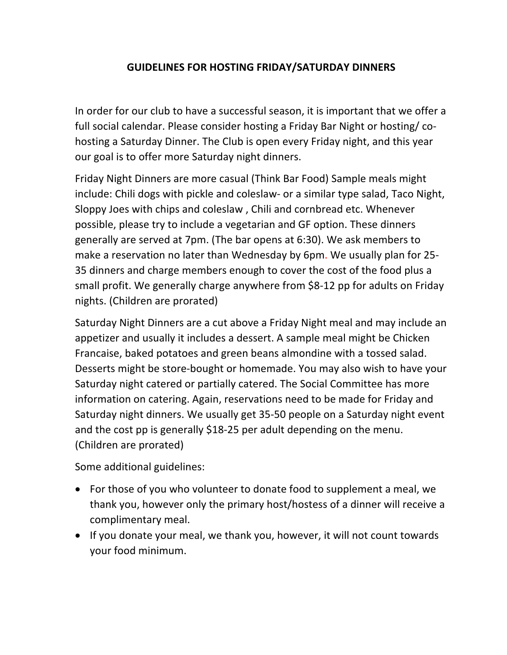## **GUIDELINES FOR HOSTING FRIDAY/SATURDAY DINNERS**

In order for our club to have a successful season, it is important that we offer a full social calendar. Please consider hosting a Friday Bar Night or hosting/ cohosting a Saturday Dinner. The Club is open every Friday night, and this year our goal is to offer more Saturday night dinners.

Friday Night Dinners are more casual (Think Bar Food) Sample meals might include: Chili dogs with pickle and coleslaw- or a similar type salad, Taco Night, Sloppy Joes with chips and coleslaw , Chili and cornbread etc. Whenever possible, please try to include a vegetarian and GF option. These dinners generally are served at 7pm. (The bar opens at 6:30). We ask members to make a reservation no later than Wednesday by 6pm. We usually plan for 25- 35 dinners and charge members enough to cover the cost of the food plus a small profit. We generally charge anywhere from \$8-12 pp for adults on Friday nights. (Children are prorated)

Saturday Night Dinners are a cut above a Friday Night meal and may include an appetizer and usually it includes a dessert. A sample meal might be Chicken Francaise, baked potatoes and green beans almondine with a tossed salad. Desserts might be store-bought or homemade. You may also wish to have your Saturday night catered or partially catered. The Social Committee has more information on catering. Again, reservations need to be made for Friday and Saturday night dinners. We usually get 35-50 people on a Saturday night event and the cost pp is generally \$18-25 per adult depending on the menu. (Children are prorated)

Some additional guidelines:

- For those of you who volunteer to donate food to supplement a meal, we thank you, however only the primary host/hostess of a dinner will receive a complimentary meal.
- If you donate your meal, we thank you, however, it will not count towards your food minimum.